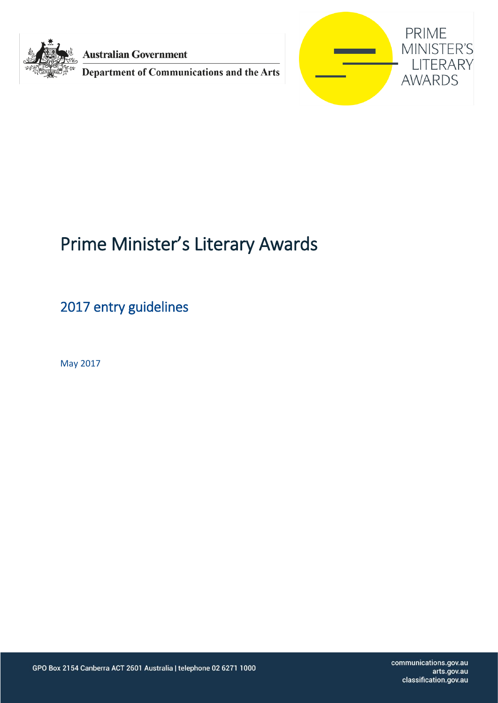

**Australian Government** 

Department of Communications and the Arts



# Prime Minister's Literary Awards

2017 entry guidelines

May 2017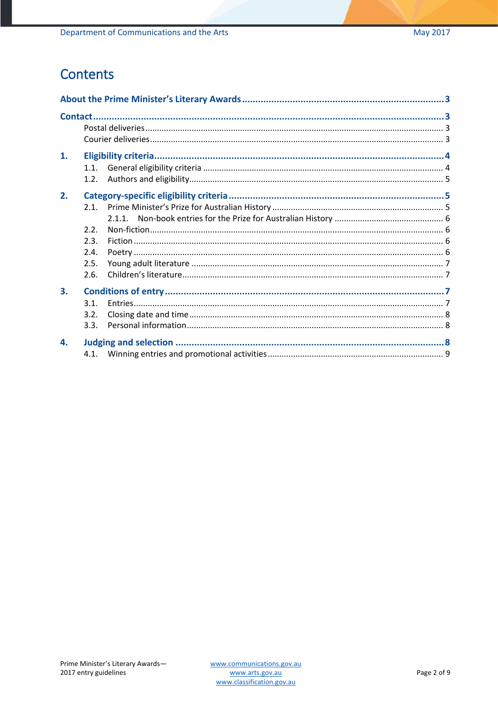### Contents

| 1. |      |  |  |
|----|------|--|--|
|    | 1.1. |  |  |
|    | 1.2. |  |  |
| 2. |      |  |  |
|    |      |  |  |
|    |      |  |  |
|    | 2.2. |  |  |
|    | 2.3. |  |  |
|    | 2.4. |  |  |
|    | 2.5. |  |  |
|    | 2.6. |  |  |
| 3. |      |  |  |
|    | 3.1. |  |  |
|    | 3.2. |  |  |
|    | 3.3. |  |  |
| 4. |      |  |  |
|    |      |  |  |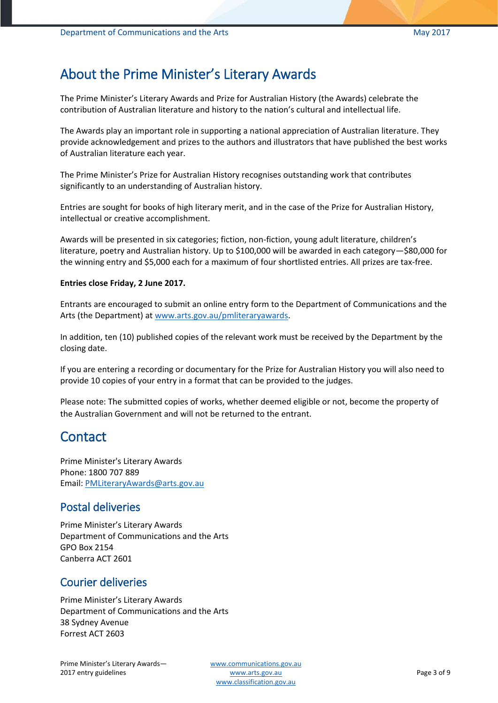### <span id="page-2-0"></span>About the Prime Minister's Literary Awards

The Prime Minister's Literary Awards and Prize for Australian History (the Awards) celebrate the contribution of Australian literature and history to the nation's cultural and intellectual life.

The Awards play an important role in supporting a national appreciation of Australian literature. They provide acknowledgement and prizes to the authors and illustrators that have published the best works of Australian literature each year.

The Prime Minister's Prize for Australian History recognises outstanding work that contributes significantly to an understanding of Australian history.

Entries are sought for books of high literary merit, and in the case of the Prize for Australian History, intellectual or creative accomplishment.

Awards will be presented in six categories; fiction, non-fiction, young adult literature, children's literature, poetry and Australian history. Up to \$100,000 will be awarded in each category-\$80,000 for the winning entry and \$5,000 each for a maximum of four shortlisted entries. All prizes are tax-free.

#### **Entries close Friday, 2 June 2017.**

Entrants are encouraged to submit an online entry form to the Department of Communications and the Arts (the Department) at [www.arts.gov.au/pmliteraryawards.](http://www.arts.gov.au/pmliteraryawards)

In addition, ten (10) published copies of the relevant work must be received by the Department by the closing date.

If you are entering a recording or documentary for the Prize for Australian History you will also need to provide 10 copies of your entry in a format that can be provided to the judges.

Please note: The submitted copies of works, whether deemed eligible or not, become the property of the Australian Government and will not be returned to the entrant.

### <span id="page-2-1"></span>**Contact**

Prime Minister's Literary Awards Phone: 1800 707 889 Email: [PMLiteraryAwards@arts.gov.au](mailto:PMLiteraryAwards@arts.gov.au)

#### <span id="page-2-2"></span>Postal deliveries

Prime Minister's Literary Awards Department of Communications and the Arts GPO Box 2154 Canberra ACT 2601

#### <span id="page-2-3"></span>Courier deliveries

Prime Minister's Literary Awards Department of Communications and the Arts 38 Sydney Avenue Forrest ACT 2603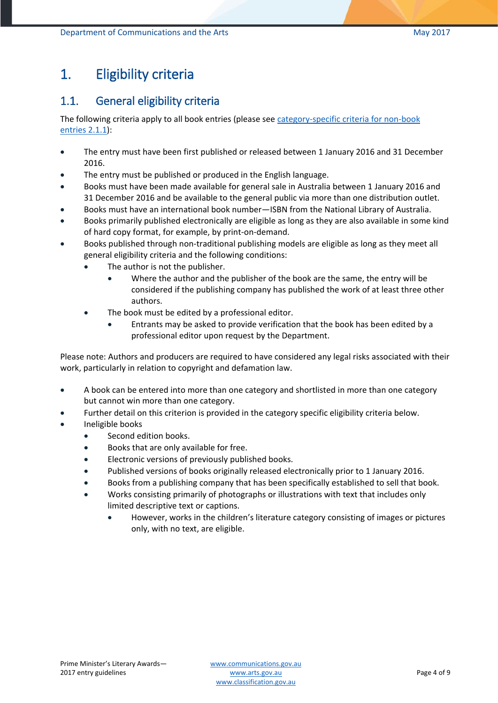# <span id="page-3-0"></span>1. Eligibility criteria

### <span id="page-3-1"></span>1.1. General eligibility criteria

The following criteria apply to all book entries (please see [category-specific criteria for non-book](#page-4-1)  [entries](#page-4-1) 2.1.1):

- The entry must have been first published or released between 1 January 2016 and 31 December 2016.
- The entry must be published or produced in the English language.
- Books must have been made available for general sale in Australia between 1 January 2016 and 31 December 2016 and be available to the general public via more than one distribution outlet.
- Books must have an international book number—ISBN from the National Library of Australia.
- Books primarily published electronically are eligible as long as they are also available in some kind of hard copy format, for example, by print-on-demand.
- Books published through non-traditional publishing models are eligible as long as they meet all general eligibility criteria and the following conditions:
	- The author is not the publisher.
		- Where the author and the publisher of the book are the same, the entry will be considered if the publishing company has published the work of at least three other authors.
	- The book must be edited by a professional editor.
		- Entrants may be asked to provide verification that the book has been edited by a professional editor upon request by the Department.

Please note: Authors and producers are required to have considered any legal risks associated with their work, particularly in relation to copyright and defamation law.

- A book can be entered into more than one category and shortlisted in more than one category but cannot win more than one category.
- Further detail on this criterion is provided in the category specific eligibility criteria below.
- Ineligible books
	- Second edition books.
	- Books that are only available for free.
	- Electronic versions of previously published books.
	- Published versions of books originally released electronically prior to 1 January 2016.
	- Books from a publishing company that has been specifically established to sell that book.
	- Works consisting primarily of photographs or illustrations with text that includes only limited descriptive text or captions.
		- However, works in the children's literature category consisting of images or pictures only, with no text, are eligible.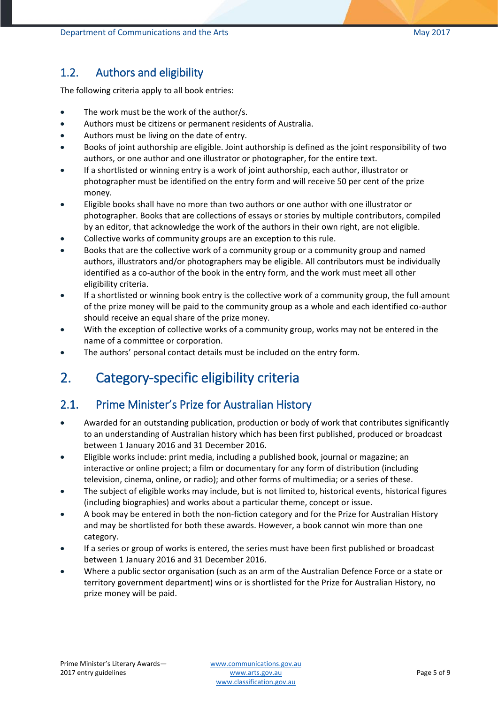### <span id="page-4-0"></span>1.2. Authors and eligibility

The following criteria apply to all book entries:

- The work must be the work of the author/s.
- Authors must be citizens or permanent residents of Australia.
- Authors must be living on the date of entry.
- Books of joint authorship are eligible. Joint authorship is defined as the joint responsibility of two authors, or one author and one illustrator or photographer, for the entire text.
- If a shortlisted or winning entry is a work of joint authorship, each author, illustrator or photographer must be identified on the entry form and will receive 50 per cent of the prize money.
- Eligible books shall have no more than two authors or one author with one illustrator or photographer. Books that are collections of essays or stories by multiple contributors, compiled by an editor, that acknowledge the work of the authors in their own right, are not eligible.
- Collective works of community groups are an exception to this rule.
- Books that are the collective work of a community group or a community group and named authors, illustrators and/or photographers may be eligible. All contributors must be individually identified as a co-author of the book in the entry form, and the work must meet all other eligibility criteria.
- If a shortlisted or winning book entry is the collective work of a community group, the full amount of the prize money will be paid to the community group as a whole and each identified co-author should receive an equal share of the prize money.
- With the exception of collective works of a community group, works may not be entered in the name of a committee or corporation.
- The authors' personal contact details must be included on the entry form.

# <span id="page-4-1"></span>2. Category-specific eligibility criteria

### <span id="page-4-2"></span>2.1. Prime Minister's Prize for Australian History

- Awarded for an outstanding publication, production or body of work that contributes significantly to an understanding of Australian history which has been first published, produced or broadcast between 1 January 2016 and 31 December 2016.
- Eligible works include: print media, including a published book, journal or magazine; an interactive or online project; a film or documentary for any form of distribution (including television, cinema, online, or radio); and other forms of multimedia; or a series of these.
- The subject of eligible works may include, but is not limited to, historical events, historical figures (including biographies) and works about a particular theme, concept or issue.
- A book may be entered in both the non-fiction category and for the Prize for Australian History and may be shortlisted for both these awards. However, a book cannot win more than one category.
- If a series or group of works is entered, the series must have been first published or broadcast between 1 January 2016 and 31 December 2016.
- Where a public sector organisation (such as an arm of the Australian Defence Force or a state or territory government department) wins or is shortlisted for the Prize for Australian History, no prize money will be paid.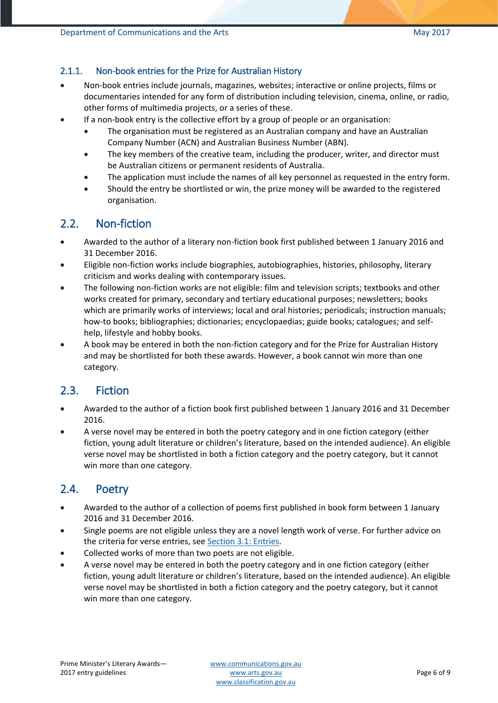#### <span id="page-5-0"></span>2.1.1. Non-book entries for the Prize for Australian History

- Non-book entries include journals, magazines, websites; interactive or online projects, films or documentaries intended for any form of distribution including television, cinema, online, or radio, other forms of multimedia projects, or a series of these.
- If a non-book entry is the collective effort by a group of people or an organisation:
	- The organisation must be registered as an Australian company and have an Australian Company Number (ACN) and Australian Business Number (ABN).
	- The key members of the creative team, including the producer, writer, and director must be Australian citizens or permanent residents of Australia.
	- The application must include the names of all key personnel as requested in the entry form.
	- Should the entry be shortlisted or win, the prize money will be awarded to the registered organisation.

#### <span id="page-5-1"></span>2.2. Non-fiction

- Awarded to the author of a literary non-fiction book first published between 1 January 2016 and 31 December 2016.
- Eligible non-fiction works include biographies, autobiographies, histories, philosophy, literary criticism and works dealing with contemporary issues.
- The following non-fiction works are not eligible: film and television scripts; textbooks and other works created for primary, secondary and tertiary educational purposes; newsletters; books which are primarily works of interviews; local and oral histories; periodicals; instruction manuals; how-to books; bibliographies; dictionaries; encyclopaedias; guide books; catalogues; and selfhelp, lifestyle and hobby books.
- A book may be entered in both the non-fiction category and for the Prize for Australian History and may be shortlisted for both these awards. However, a book cannot win more than one category.

#### <span id="page-5-2"></span>2.3. Fiction

- Awarded to the author of a fiction book first published between 1 January 2016 and 31 December 2016.
- A verse novel may be entered in both the poetry category and in one fiction category (either fiction, young adult literature or children's literature, based on the intended audience). An eligible verse novel may be shortlisted in both a fiction category and the poetry category, but it cannot win more than one category.

### <span id="page-5-3"></span>2.4. Poetry

- Awarded to the author of a collection of poems first published in book form between 1 January 2016 and 31 December 2016.
- Single poems are not eligible unless they are a novel length work of verse. For further advice on the criteria for verse entries, see **Section 3.1: Entries**.
- Collected works of more than two poets are not eligible.
- A verse novel may be entered in both the poetry category and in one fiction category (either fiction, young adult literature or children's literature, based on the intended audience). An eligible verse novel may be shortlisted in both a fiction category and the poetry category, but it cannot win more than one category.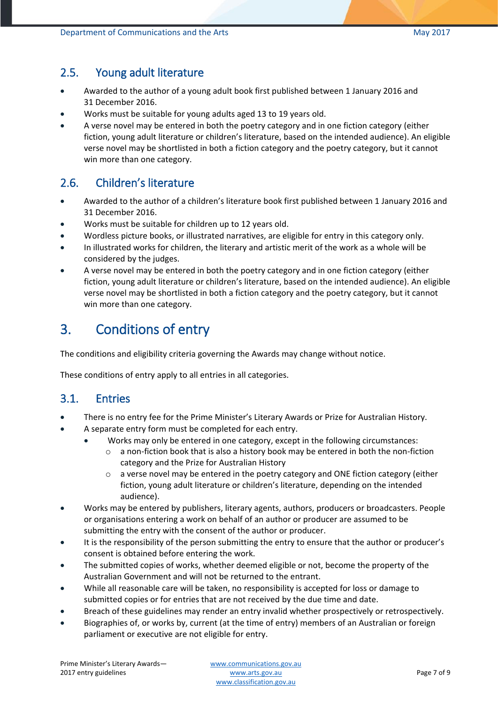#### <span id="page-6-0"></span>2.5. Young adult literature

- Awarded to the author of a young adult book first published between 1 January 2016 and 31 December 2016.
- Works must be suitable for young adults aged 13 to 19 years old.
- A verse novel may be entered in both the poetry category and in one fiction category (either fiction, young adult literature or children's literature, based on the intended audience). An eligible verse novel may be shortlisted in both a fiction category and the poetry category, but it cannot win more than one category.

### <span id="page-6-1"></span>2.6. Children's literature

- Awarded to the author of a children's literature book first published between 1 January 2016 and 31 December 2016.
- Works must be suitable for children up to 12 years old.
- Wordless picture books, or illustrated narratives, are eligible for entry in this category only.
- In illustrated works for children, the literary and artistic merit of the work as a whole will be considered by the judges.
- A verse novel may be entered in both the poetry category and in one fiction category (either fiction, young adult literature or children's literature, based on the intended audience). An eligible verse novel may be shortlisted in both a fiction category and the poetry category, but it cannot win more than one category.

### <span id="page-6-2"></span>3. Conditions of entry

The conditions and eligibility criteria governing the Awards may change without notice.

These conditions of entry apply to all entries in all categories.

#### <span id="page-6-3"></span>3.1. Entries

- There is no entry fee for the Prime Minister's Literary Awards or Prize for Australian History.
- A separate entry form must be completed for each entry.
	- Works may only be entered in one category, except in the following circumstances:
		- $\circ$  a non-fiction book that is also a history book may be entered in both the non-fiction category and the Prize for Australian History
		- o a verse novel may be entered in the poetry category and ONE fiction category (either fiction, young adult literature or children's literature, depending on the intended audience).
- Works may be entered by publishers, literary agents, authors, producers or broadcasters. People or organisations entering a work on behalf of an author or producer are assumed to be submitting the entry with the consent of the author or producer.
- It is the responsibility of the person submitting the entry to ensure that the author or producer's consent is obtained before entering the work.
- The submitted copies of works, whether deemed eligible or not, become the property of the Australian Government and will not be returned to the entrant.
- While all reasonable care will be taken, no responsibility is accepted for loss or damage to submitted copies or for entries that are not received by the due time and date.
- Breach of these guidelines may render an entry invalid whether prospectively or retrospectively.
- Biographies of, or works by, current (at the time of entry) members of an Australian or foreign parliament or executive are not eligible for entry.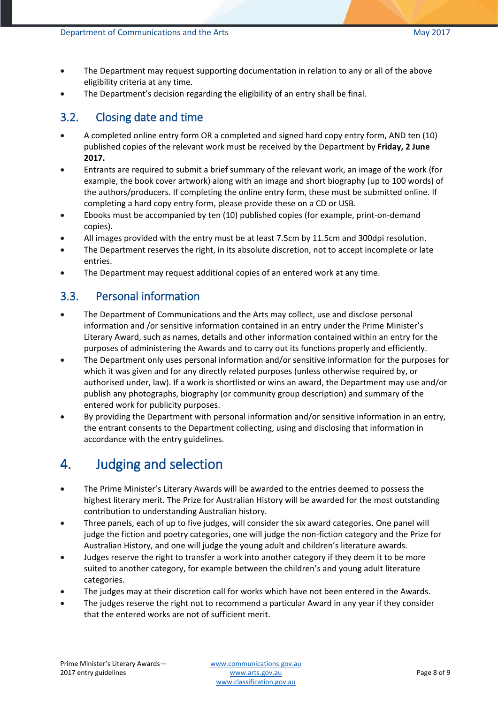- The Department may request supporting documentation in relation to any or all of the above eligibility criteria at any time.
- The Department's decision regarding the eligibility of an entry shall be final.

### <span id="page-7-0"></span>3.2. Closing date and time

- A completed online entry form OR a completed and signed hard copy entry form, AND ten (10) published copies of the relevant work must be received by the Department by **Friday, 2 June 2017.**
- Entrants are required to submit a brief summary of the relevant work, an image of the work (for example, the book cover artwork) along with an image and short biography (up to 100 words) of the authors/producers. If completing the online entry form, these must be submitted online. If completing a hard copy entry form, please provide these on a CD or USB.
- Ebooks must be accompanied by ten (10) published copies (for example, print-on-demand copies).
- All images provided with the entry must be at least 7.5cm by 11.5cm and 300dpi resolution.
- The Department reserves the right, in its absolute discretion, not to accept incomplete or late entries.
- The Department may request additional copies of an entered work at any time.

### <span id="page-7-1"></span>3.3. Personal information

- The Department of Communications and the Arts may collect, use and disclose personal information and /or sensitive information contained in an entry under the Prime Minister's Literary Award, such as names, details and other information contained within an entry for the purposes of administering the Awards and to carry out its functions properly and efficiently.
- The Department only uses personal information and/or sensitive information for the purposes for which it was given and for any directly related purposes (unless otherwise required by, or authorised under, law). If a work is shortlisted or wins an award, the Department may use and/or publish any photographs, biography (or community group description) and summary of the entered work for publicity purposes.
- By providing the Department with personal information and/or sensitive information in an entry, the entrant consents to the Department collecting, using and disclosing that information in accordance with the entry guidelines.

# <span id="page-7-2"></span>4. Judging and selection

- The Prime Minister's Literary Awards will be awarded to the entries deemed to possess the highest literary merit. The Prize for Australian History will be awarded for the most outstanding contribution to understanding Australian history.
- Three panels, each of up to five judges, will consider the six award categories. One panel will judge the fiction and poetry categories, one will judge the non-fiction category and the Prize for Australian History, and one will judge the young adult and children's literature awards.
- Judges reserve the right to transfer a work into another category if they deem it to be more suited to another category, for example between the children's and young adult literature categories.
- The judges may at their discretion call for works which have not been entered in the Awards.
- The judges reserve the right not to recommend a particular Award in any year if they consider that the entered works are not of sufficient merit.